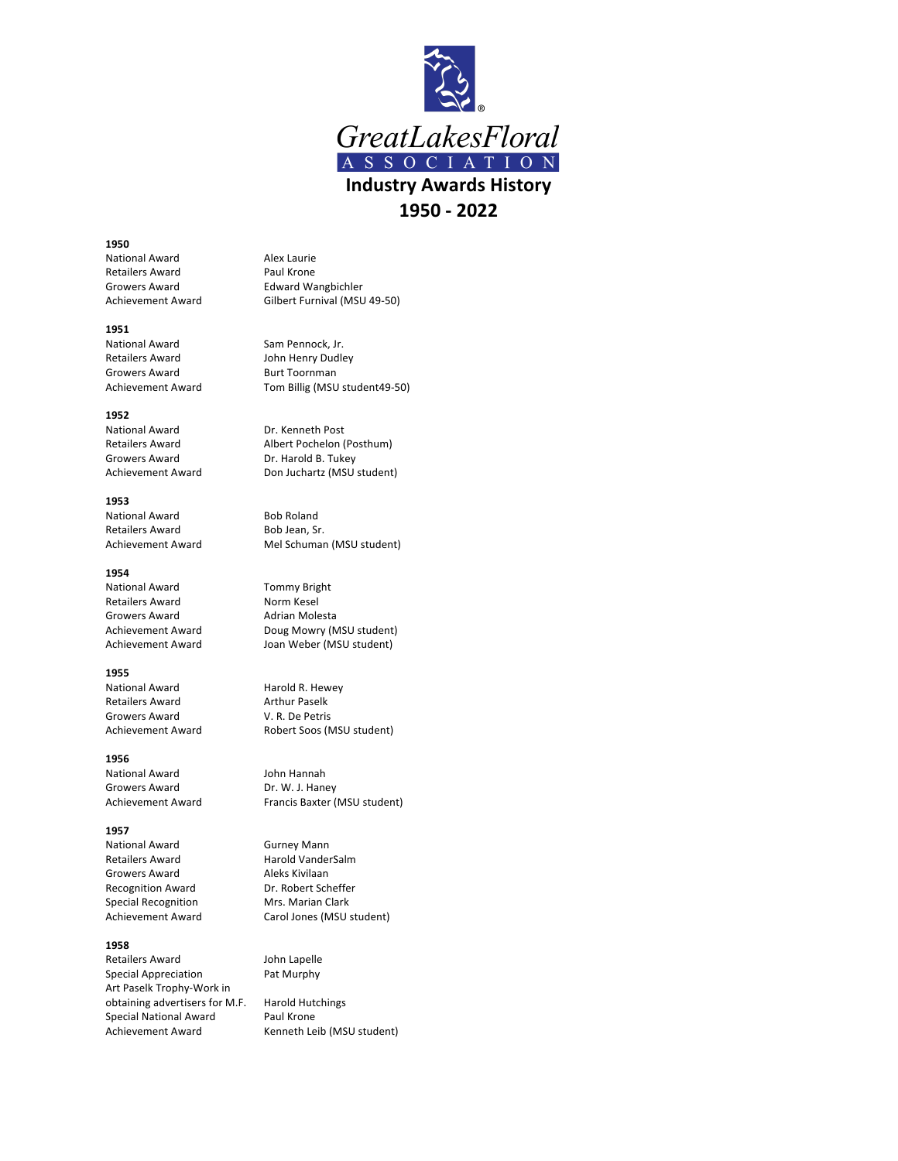

## **1950**

National Award **Alex Laurie** Retailers Award **Paul Krone** Growers Award **Edward Wangbichler** 

## **1951**

National Award Sam Pennock, Jr. Retailers Award **John Henry Dudley** Growers Award Burt Toornman

## **1952**

National Award **Dr.** Kenneth Post Growers Award Dr. Harold B. Tukey

## **1953**

National Award Bob Roland Retailers Award Bob Jean, Sr.

# **1954**

National Award Tommy Bright Retailers Award Norm Kesel Growers Award **Adrian Molesta** 

## **1955**

National Award Harold R. Hewey Retailers Award **Arthur Paselk**<br>
Growers Award **Arthur Paselk**<br>
V. R. De Petris Growers Award

# **1956**

National Award **John Hannah** Growers Award Dr. W. J. Haney

# **1957**

National Award Gurney Mann Retailers Award Harold VanderSalm Growers Award **Aleks Kivilaan**<br>Recognition Award **Alexand** Dr. Robert Scheffer Recognition Award Special Recognition Mrs. Marian Clark

## **1958**

Retailers Award **John Lapelle** Special Appreciation Pat Murphy Art Paselk Trophy-Work in obtaining advertisers for M.F. Harold Hutchings Special National Award Paul Krone Achievement Award Kenneth Leib (MSU student)

Achievement Award Gilbert Furnival (MSU 49-50)

Achievement Award Tom Billig (MSU student49-50)

Retailers Award Machael Albert Pochelon (Posthum) Achievement Award Don Juchartz (MSU student)

Achievement Award Mel Schuman (MSU student)

Achievement Award Doug Mowry (MSU student) Achievement Award Joan Weber (MSU student)

Achievement Award Robert Soos (MSU student)

Achievement Award Francis Baxter (MSU student)

Achievement Award Carol Jones (MSU student)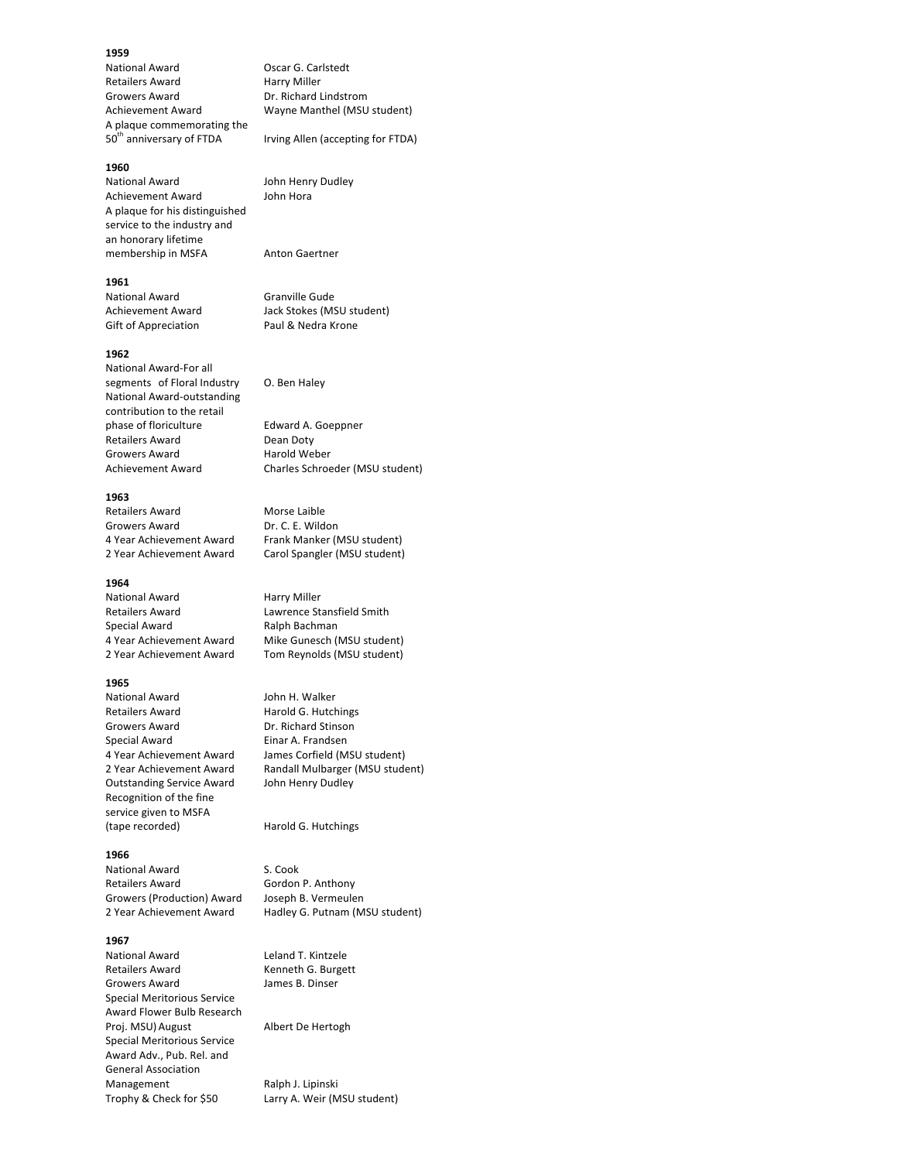### **1959**

National Award **Oscar G. Carlstedt** Retailers Award 
Harry Miller Growers Award **Dr. Richard Lindstrom** A plaque commemorating the 50<sup>th</sup> anniversary of FTDA Irving Allen (accepting for FTDA)

# **1960**

National Award **John Henry Dudley** Achievement Award John Hora A plaque for his distinguished service to the industry and an honorary lifetime membership in MSFA Anton Gaertner

### **1961**

National Award Granville Gude Gift of Appreciation Paul & Nedra Krone

## **1962**

National Award-For all segments of Floral Industry O. Ben Haley National Award-outstanding contribution to the retail phase of floriculture Edward A. Goeppner Retailers Award Dean Doty Growers Award **Harold** Weber

## **1963**

Retailers Award Morse Laible Growers Award **Dr. C. E. Wildon** 

#### **1964**

National Award **Harry Miller** Retailers Award **Lawrence Stansfield Smith** Special Award **Ralph Bachman** 

# **1965**

National Award **John H. Walker** Retailers Award Harold G. Hutchings Growers Award **Dr. Richard Stinson** Special Award **Einar A. Frandsen** Outstanding Service Award John Henry Dudley Recognition of the fine service given to MSFA (tape recorded) Harold G. Hutchings

#### **1966**

National Award S. Cook Retailers Award Gordon P. Anthony Growers (Production) Award Joseph B. Vermeulen

#### **1967**

National Award Leland T. Kintzele Retailers Award Kenneth G. Burgett Growers Award **James B. Dinser** Special Meritorious Service Award Flower Bulb Research Proj. MSU) August Albert De Hertogh Special Meritorious Service Award Adv., Pub. Rel. and General Association Management Ralph J. Lipinski Trophy & Check for \$50 Larry A. Weir (MSU student)

Achievement Award Wayne Manthel (MSU student)

Achievement Award Jack Stokes (MSU student)

Achievement Award Charles Schroeder (MSU student)

4 Year Achievement Award Frank Manker (MSU student) 2 Year Achievement Award Carol Spangler (MSU student)

4 Year Achievement Award Mike Gunesch (MSU student) 2 Year Achievement Award Tom Reynolds (MSU student)

4 Year Achievement Award James Corfield (MSU student) 2 Year Achievement Award Randall Mulbarger (MSU student)

2 Year Achievement Award Hadley G. Putnam (MSU student)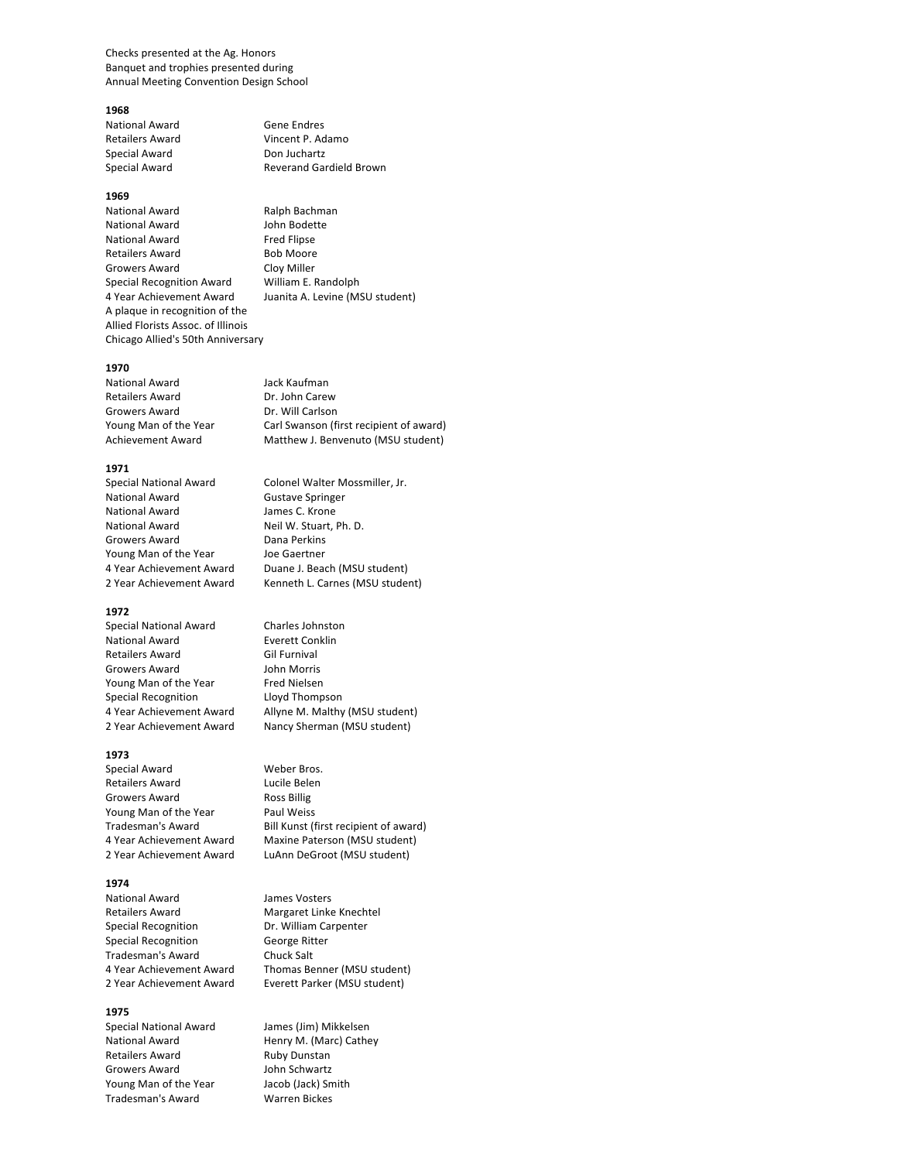Checks presented at the Ag. Honors Banquet and trophies presented during Annual Meeting Convention Design School

#### **1968**

National Award Gene Endres Special Award Don Juchartz

## **1969**

National Award **Ralph Bachman** National Award **John Bodette** National Award Fred Flipse Retailers Award Bob Moore Growers Award Cloy Miller Special Recognition Award William E. Randolph 4 Year Achievement Award Juanita A. Levine (MSU student) A plaque in recognition of the Allied Florists Assoc. of Illinois Chicago Allied's 50th Anniversary

#### **1970**

National Award **Jack Kaufman** Retailers Award Dr. John Carew Growers Award **Dr.** Will Carlson

## **1971**

National Award<br>
National Award<br>
James C. Krone National Award National Award Neil W. Stuart, Ph. D. Growers Award Dana Perkins Young Man of the Year Joe Gaertner

#### **1972**

Special National Award Charles Johnston National Award **Everett Conklin** Retailers Award Gil Furnival Growers Award **John Morris** Young Man of the Year Fred Nielsen Special Recognition **Lloyd Thompson** 

## **1973**

Special Award Weber Bros. Retailers Award **Lucile Belen** Growers Award Ross Billig Young Man of the Year Paul Weiss

## **1974**

National Award James Vosters Retailers Award Margaret Linke Knechtel Special Recognition **Dr.** William Carpenter Special Recognition George Ritter Tradesman's Award Chuck Salt

# **1975**

Special National Award James (Jim) Mikkelsen Retailers Award **Ruby Dunstan** Growers Award **John Schwartz** Young Man of the Year Jacob (Jack) Smith Tradesman's Award Warren Bickes

Retailers Award Vincent P. Adamo Special Award **Reverand Gardield Brown** 

Young Man of the Year Carl Swanson (first recipient of award) Achievement Award Matthew J. Benvenuto (MSU student)

Special National Award Colonel Walter Mossmiller, Jr. 4 Year Achievement Award Duane J. Beach (MSU student) 2 Year Achievement Award Kenneth L. Carnes (MSU student)

4 Year Achievement Award Allyne M. Malthy (MSU student) 2 Year Achievement Award Nancy Sherman (MSU student)

Tradesman's Award Bill Kunst (first recipient of award) 4 Year Achievement Award Maxine Paterson (MSU student) 2 Year Achievement Award LuAnn DeGroot (MSU student)

4 Year Achievement Award Thomas Benner (MSU student) 2 Year Achievement Award Everett Parker (MSU student)

National Award **Henry M.** (Marc) Cathey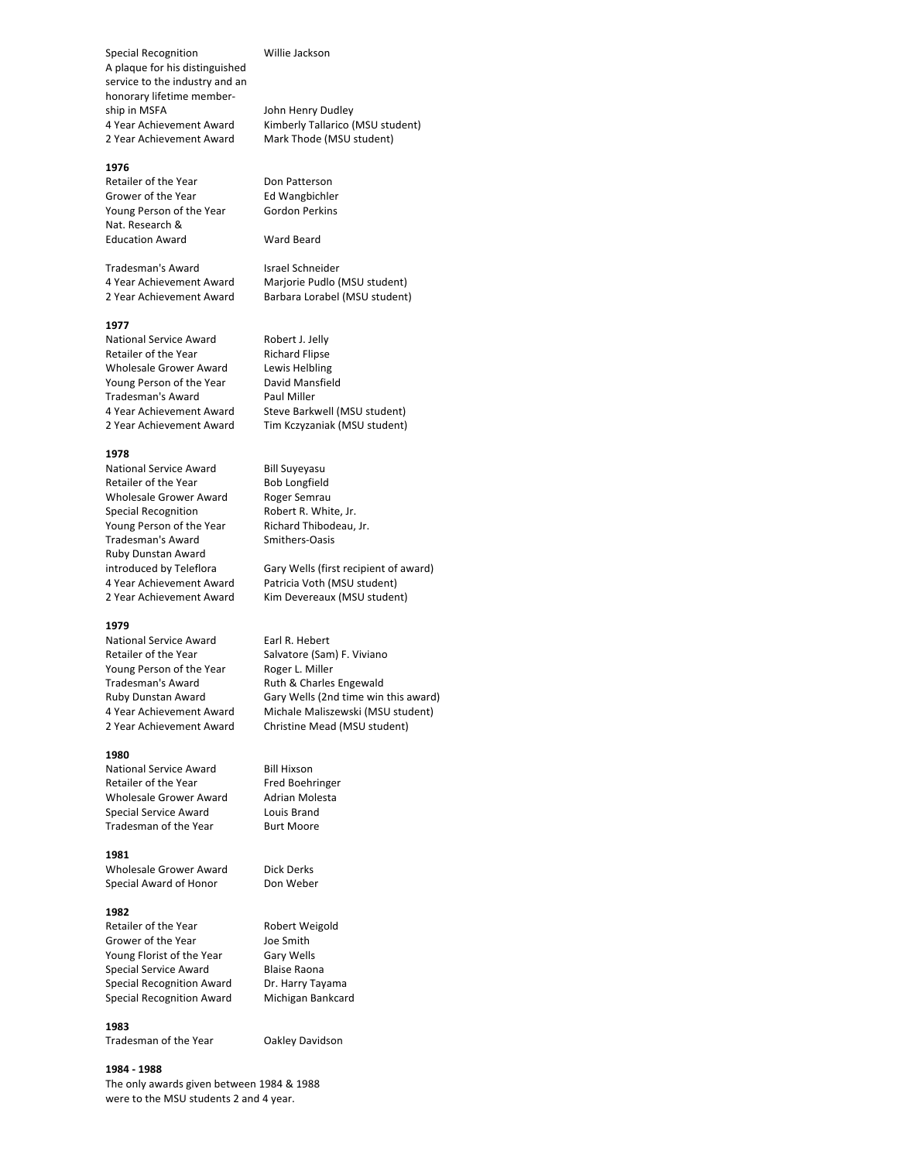Special Recognition **Willie Jackson** A plaque for his distinguished service to the industry and an honorary lifetime membership in MSFA John Henry Dudley 2 Year Achievement Award Mark Thode (MSU student)

## **1976**

Retailer of the Year Don Patterson Grower of the Year<br>
Young Person of the Year<br>
Gordon Perkins Young Person of the Year Nat. Research & Education Award Ward Beard

Tradesman's Award Israel Schneider

#### **1977**

National Service Award Robert J. Jelly Retailer of the Year Richard Flipse Wholesale Grower Award Lewis Helbling Young Person of the Year David Mansfield Tradesman's Award Paul Miller 2 Year Achievement Award Tim Kczyzaniak (MSU student)

#### **1978**

National Service Award Bill Suyeyasu Retailer of the Year Bob Longfield Wholesale Grower Award Roger Semrau<br>
Special Recognition Robert R. White, Jr. Special Recognition Young Person of the Year Richard Thibodeau, Jr. Tradesman's Award Smithers-Oasis Ruby Dunstan Award 4 Year Achievement Award Patricia Voth (MSU student)

## **1979**

National Service Award Earl R. Hebert Retailer of the Year Salvatore (Sam) F. Viviano Young Person of the Year Roger L. Miller Tradesman's Award **Ruth & Charles Engewald** 

#### **1980**

National Service Award Bill Hixson Retailer of the Year Fred Boehringer Wholesale Grower Award Adrian Molesta Special Service Award Louis Brand Tradesman of the Year **Burt Moore** 

#### **1981**

Wholesale Grower Award Dick Derks Special Award of Honor Don Weber

#### **1982**

Retailer of the Year Robert Weigold Grower of the Year Joe Smith Young Florist of the Year Gary Wells Special Service Award Blaise Raona Special Recognition Award Dr. Harry Tayama Special Recognition Award Michigan Bankcard

## **1983**

Tradesman of the Year **Oakley Davidson** 

#### **1984 - 1988**

The only awards given between 1984 & 1988 were to the MSU students 2 and 4 year.

4 Year Achievement Award Kimberly Tallarico (MSU student)

4 Year Achievement Award Marjorie Pudlo (MSU student) 2 Year Achievement Award Barbara Lorabel (MSU student)

4 Year Achievement Award Steve Barkwell (MSU student)

introduced by Teleflora Gary Wells (first recipient of award) 2 Year Achievement Award Kim Devereaux (MSU student)

Ruby Dunstan Award Gary Wells (2nd time win this award) 4 Year Achievement Award Michale Maliszewski (MSU student) 2 Year Achievement Award Christine Mead (MSU student)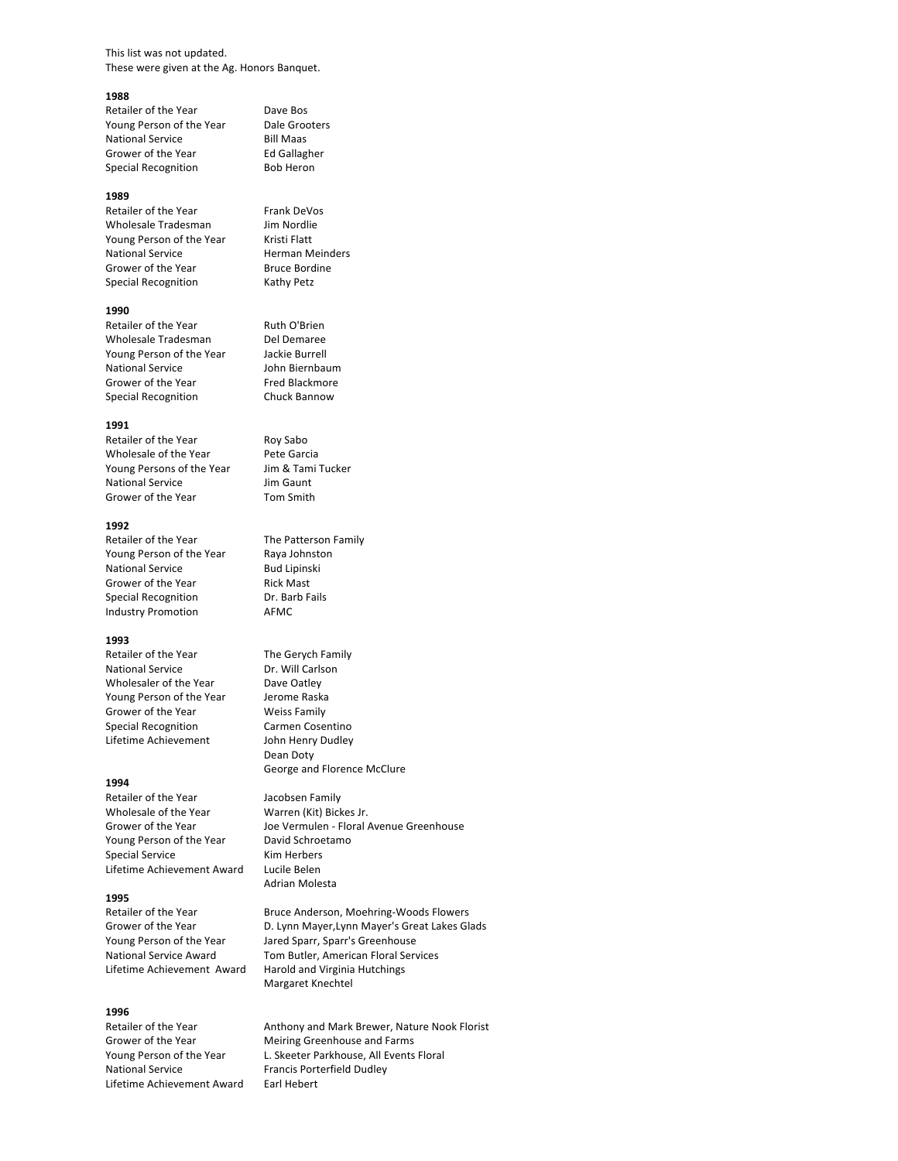This list was not updated. These were given at the Ag. Honors Banquet.

#### **1988**

Retailer of the Year Dave Bos Young Person of the Year Dale Grooters National Service Bill Maas Grower of the Year Full Ed Gallagher Special Recognition Bob Heron

#### **1989**

Retailer of the Year Frank DeVos<br>
Wholesale Tradesman Jim Nordlie Wholesale Tradesman Young Person of the Year Kristi Flatt National Service **Herman Meinders** Grower of the Year Bruce Bordine Special Recognition Kathy Petz

#### **1990**

Retailer of the Year Ruth O'Brien Wholesale Tradesman Del Demaree<br>Young Person of the Year Jackie Burrell Young Person of the Year National Service John Biernbaum Grower of the Year Fred Blackmore Special Recognition Chuck Bannow

#### **1991**

Retailer of the Year Roy Sabo Wholesale of the Year Pete Garcia Young Persons of the Year Jim & Tami Tucker National Service Jim Gaunt Grower of the Year Tom Smith

#### **1992**

Retailer of the Year The Patterson Family Young Person of the Year Raya Johnston National Service Bud Lipinski Grower of the Year Rick Mast Special Recognition **Dr.** Barb Fails Industry Promotion **AFMC** 

### **1993**

Retailer of the Year The Gerych Family National Service **Dr.** Will Carlson Wholesaler of the Year Dave Oatley Young Person of the Year Jerome Raska Grower of the Year Weiss Family Special Recognition **Carmen Cosentino** Lifetime Achievement John Henry Dudley

#### **1994**

Retailer of the Year **Jacobsen Family** Wholesale of the Year Warren (Kit) Bickes Jr. Young Person of the Year David Schroetamo Special Service Kim Herbers Lifetime Achievement Award Lucile Belen

## **1995**

**1996** National Service Francis Porterfield Dudley Lifetime Achievement Award Earl Hebert

Dean Doty George and Florence McClure

Grower of the Year Joe Vermulen - Floral Avenue Greenhouse Adrian Molesta

Retailer of the Year **Bruce Anderson, Moehring-Woods Flowers** Grower of the Year **D. Lynn Mayer,Lynn Mayer's Great Lakes Glads** Young Person of the Year Jared Sparr, Sparr's Greenhouse National Service Award Tom Butler, American Floral Services Lifetime Achievement Award Harold and Virginia Hutchings Margaret Knechtel

Anthony and Mark Brewer, Nature Nook Florist Grower of the Year Meiring Greenhouse and Farms Young Person of the Year L. Skeeter Parkhouse, All Events Floral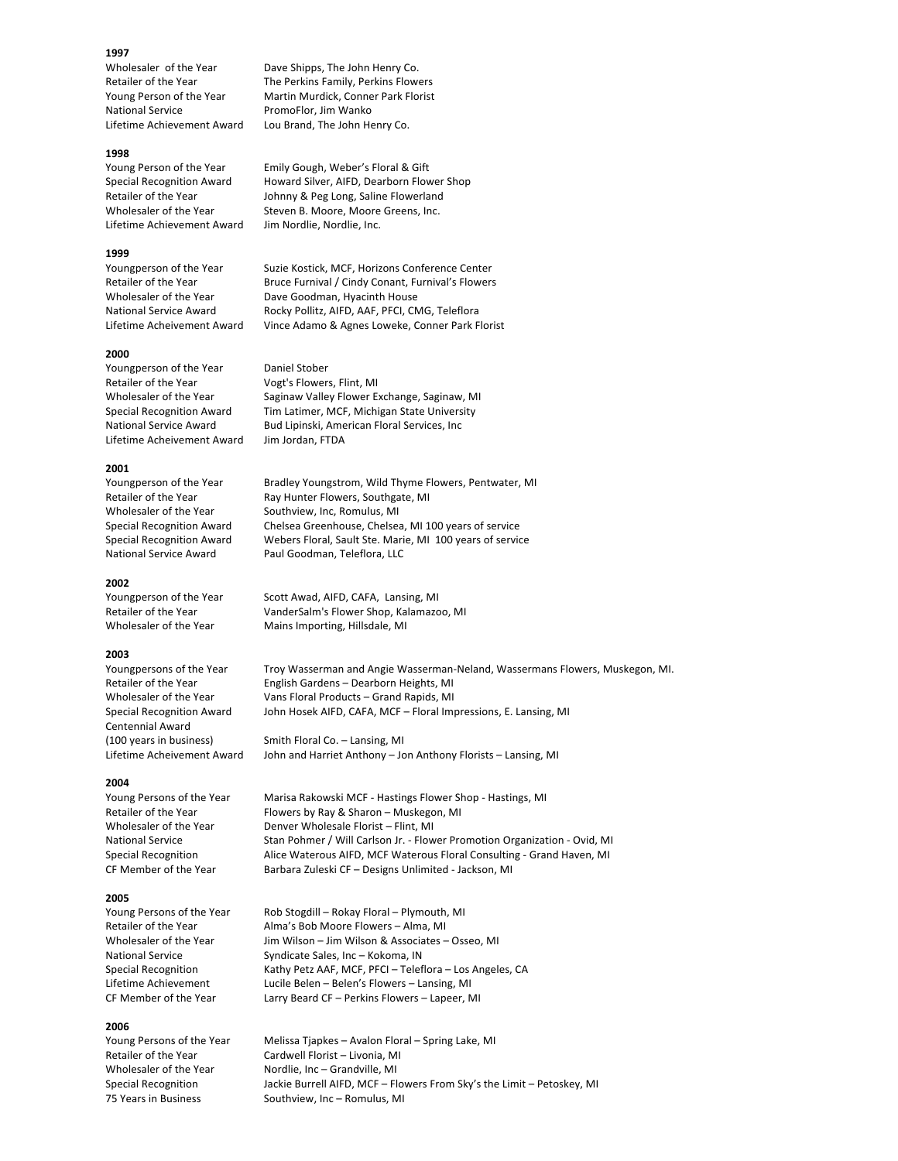#### **1997**

National Service PromoFlor, Jim Wanko

#### **1998**

Lifetime Achievement Award Jim Nordlie, Nordlie, Inc.

#### **1999**

## **2000**

Youngperson of the Year Daniel Stober Retailer of the Year Vogt's Flowers, Flint, MI Lifetime Acheivement Award Jim Jordan, FTDA

#### **2001**

#### **2002**

#### **2003**

Centennial Award

#### **2004**

#### **2005**

#### **2006**

Wholesaler of the Year Dave Shipps, The John Henry Co. Retailer of the Year The Perkins Family, Perkins Flowers Young Person of the Year Martin Murdick, Conner Park Florist Lifetime Achievement Award Lou Brand, The John Henry Co.

Young Person of the Year Emily Gough, Weber's Floral & Gift Special Recognition Award Howard Silver, AIFD, Dearborn Flower Shop Retailer of the Year **Same State State** Johnny & Peg Long, Saline Flowerland Wholesaler of the Year Steven B. Moore, Moore Greens, Inc.

Youngperson of the Year Suzie Kostick, MCF, Horizons Conference Center Retailer of the Year **Bruce Furnival** / Cindy Conant, Furnival's Flowers Wholesaler of the Year Dave Goodman, Hyacinth House National Service Award **Rocky Pollitz, AIFD, AAF, PFCI, CMG, Teleflora** Lifetime Acheivement Award Vince Adamo & Agnes Loweke, Conner Park Florist

Wholesaler of the Year Saginaw Valley Flower Exchange, Saginaw, MI Special Recognition Award Tim Latimer, MCF, Michigan State University National Service Award Bud Lipinski, American Floral Services, Inc

Youngperson of the Year Bradley Youngstrom, Wild Thyme Flowers, Pentwater, MI Retailer of the Year **Ray Hunter Flowers, Southgate, MI** Wholesaler of the Year Southview, Inc, Romulus, MI Special Recognition Award Chelsea Greenhouse, Chelsea, MI 100 years of service Special Recognition Award Webers Floral, Sault Ste. Marie, MI 100 years of service National Service Award Paul Goodman, Teleflora, LLC

Youngperson of the Year Scott Awad, AIFD, CAFA, Lansing, MI Retailer of the Year VanderSalm's Flower Shop, Kalamazoo, MI Wholesaler of the Year Mains Importing, Hillsdale, MI

Youngpersons of the Year Troy Wasserman and Angie Wasserman-Neland, Wassermans Flowers, Muskegon, MI. Retailer of the Year English Gardens - Dearborn Heights, MI Wholesaler of the Year Vans Floral Products – Grand Rapids, MI Special Recognition Award John Hosek AIFD, CAFA, MCF – Floral Impressions, E. Lansing, MI

(100 years in business) Smith Floral Co. – Lansing, MI Lifetime Acheivement Award John and Harriet Anthony – Jon Anthony Florists – Lansing, MI

Young Persons of the Year Marisa Rakowski MCF - Hastings Flower Shop - Hastings, MI Retailer of the Year Flowers by Ray & Sharon – Muskegon, MI Wholesaler of the Year Denver Wholesale Florist – Flint, MI National Service Stan Pohmer / Will Carlson Jr. - Flower Promotion Organization - Ovid, MI Special Recognition **Alice Waterous AIFD, MCF Waterous Floral Consulting** - Grand Haven, MI CF Member of the Year Barbara Zuleski CF – Designs Unlimited - Jackson, MI

Young Persons of the Year Rob Stogdill – Rokay Floral – Plymouth, MI Retailer of the Year **Alma's Bob Moore Flowers** – Alma, MI Wholesaler of the Year Jim Wilson – Jim Wilson & Associates – Osseo, MI National Service Syndicate Sales, Inc – Kokoma, IN Special Recognition Kathy Petz AAF, MCF, PFCI - Teleflora - Los Angeles, CA Lifetime Achievement Lucile Belen – Belen's Flowers – Lansing, MI CF Member of the Year Larry Beard CF – Perkins Flowers – Lapeer, MI

Young Persons of the Year Melissa Tjapkes - Avalon Floral - Spring Lake, MI Retailer of the Year Cardwell Florist - Livonia, MI Wholesaler of the Year Nordlie, Inc – Grandville, MI Special Recognition Jackie Burrell AIFD, MCF – Flowers From Sky's the Limit – Petoskey, MI 75 Years in Business Southview, Inc - Romulus, MI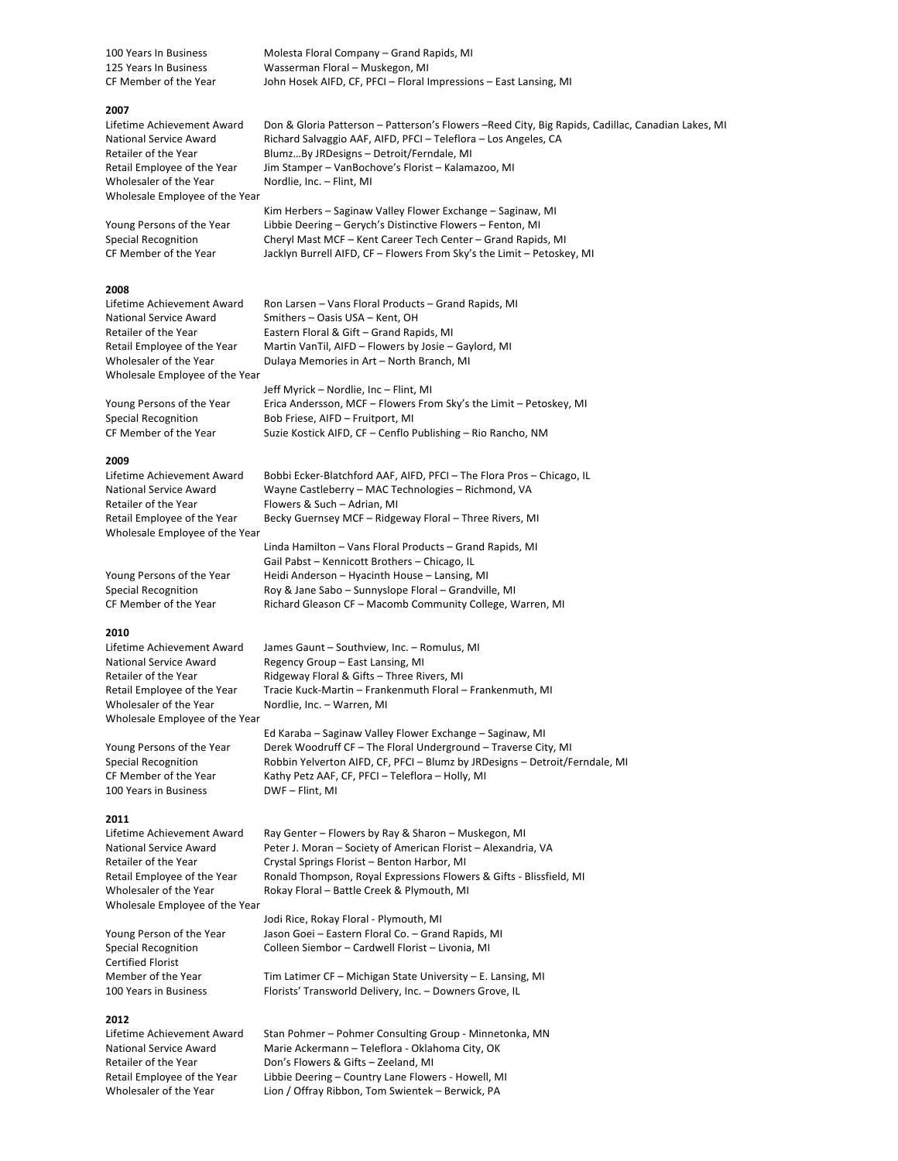100 Years In Business Molesta Floral Company - Grand Rapids, MI 125 Years In Business Wasserman Floral – Muskegon, MI CF Member of the Year John Hosek AIFD, CF, PFCI – Floral Impressions – East Lansing, MI

#### **2007**

Wholesaler of the Year Nordlie, Inc. – Flint, MI Wholesale Employee of the Year

## **2008**

Wholesale Employee of the Year

## **2009**

Retailer of the Year Flowers & Such – Adrian, MI Wholesale Employee of the Year

#### **2010**

Wholesaler of the Year Nordlie, Inc. – Warren, MI Wholesale Employee of the Year

100 Years in Business DWF - Flint, MI

#### **2011**

Wholesale Employee of the Year

Certified Florist 

#### **2012**

Lifetime Achievement Award Don & Gloria Patterson - Patterson's Flowers -Reed City, Big Rapids, Cadillac, Canadian Lakes, MI National Service Award Richard Salvaggio AAF, AIFD, PFCI - Teleflora - Los Angeles, CA Retailer of the Year Blumz...By JRDesigns - Detroit/Ferndale, MI Retail Employee of the Year Jim Stamper - VanBochove's Florist - Kalamazoo, MI

Kim Herbers - Saginaw Valley Flower Exchange - Saginaw, MI Young Persons of the Year Libbie Deering – Gerych's Distinctive Flowers – Fenton, MI Special Recognition **Cheryl Mast MCF** – Kent Career Tech Center – Grand Rapids, MI CF Member of the Year Jacklyn Burrell AIFD, CF – Flowers From Sky's the Limit – Petoskey, MI

Lifetime Achievement Award Ron Larsen - Vans Floral Products - Grand Rapids, MI National Service Award Smithers – Oasis USA – Kent, OH Retailer of the Year Eastern Floral & Gift - Grand Rapids, MI Retail Employee of the Year Martin VanTil, AIFD - Flowers by Josie - Gaylord, MI Wholesaler of the Year Dulaya Memories in Art - North Branch, MI

Jeff Myrick - Nordlie, Inc - Flint, MI Young Persons of the Year Fica Andersson, MCF - Flowers From Sky's the Limit - Petoskey, MI Special Recognition Bob Friese, AIFD – Fruitport, MI CF Member of the Year Suzie Kostick AIFD, CF – Cenflo Publishing – Rio Rancho, NM

Lifetime Achievement Award Bobbi Ecker-Blatchford AAF, AIFD, PFCI - The Flora Pros - Chicago, IL National Service Award Wayne Castleberry - MAC Technologies - Richmond, VA Retail Employee of the Year Becky Guernsey MCF – Ridgeway Floral – Three Rivers, MI

Linda Hamilton - Vans Floral Products - Grand Rapids, MI Gail Pabst - Kennicott Brothers - Chicago, IL Young Persons of the Year Heidi Anderson – Hyacinth House – Lansing, MI Special Recognition Roy & Jane Sabo – Sunnyslope Floral – Grandville, MI CF Member of the Year Richard Gleason CF - Macomb Community College, Warren, MI

Lifetime Achievement Award James Gaunt - Southview, Inc. - Romulus, MI National Service Award Regency Group – East Lansing, MI Retailer of the Year Ridgeway Floral & Gifts - Three Rivers, MI Retail Employee of the Year Tracie Kuck-Martin – Frankenmuth Floral – Frankenmuth, MI

Ed Karaba - Saginaw Valley Flower Exchange - Saginaw, MI Young Persons of the Year Derek Woodruff CF – The Floral Underground – Traverse City, MI Special Recognition **Robbin Yelverton AIFD, CF, PFCI** – Blumz by JRDesigns – Detroit/Ferndale, MI CF Member of the Year Kathy Petz AAF, CF, PFCI – Teleflora – Holly, MI

Lifetime Achievement Award Ray Genter - Flowers by Ray & Sharon - Muskegon, MI National Service Award Peter J. Moran - Society of American Florist - Alexandria, VA Retailer of the Year **Crystal Springs Florist** – Benton Harbor, MI Retail Employee of the Year Bonald Thompson, Royal Expressions Flowers & Gifts - Blissfield, MI Wholesaler of the Year Rokay Floral – Battle Creek & Plymouth, MI

Jodi Rice, Rokay Floral - Plymouth, MI Young Person of the Year Jason Goei - Eastern Floral Co. - Grand Rapids, MI Special Recognition Colleen Siembor – Cardwell Florist – Livonia, MI

Member of the Year Tim Latimer CF – Michigan State University – E. Lansing, MI 100 Years in Business Florists' Transworld Delivery, Inc. - Downers Grove, IL

Lifetime Achievement Award Stan Pohmer – Pohmer Consulting Group - Minnetonka, MN National Service Award Marie Ackermann - Teleflora - Oklahoma City, OK Retailer of the Year Don's Flowers & Gifts - Zeeland, MI Retail Employee of the Year Libbie Deering - Country Lane Flowers - Howell, MI Wholesaler of the Year Lion / Offray Ribbon, Tom Swientek - Berwick, PA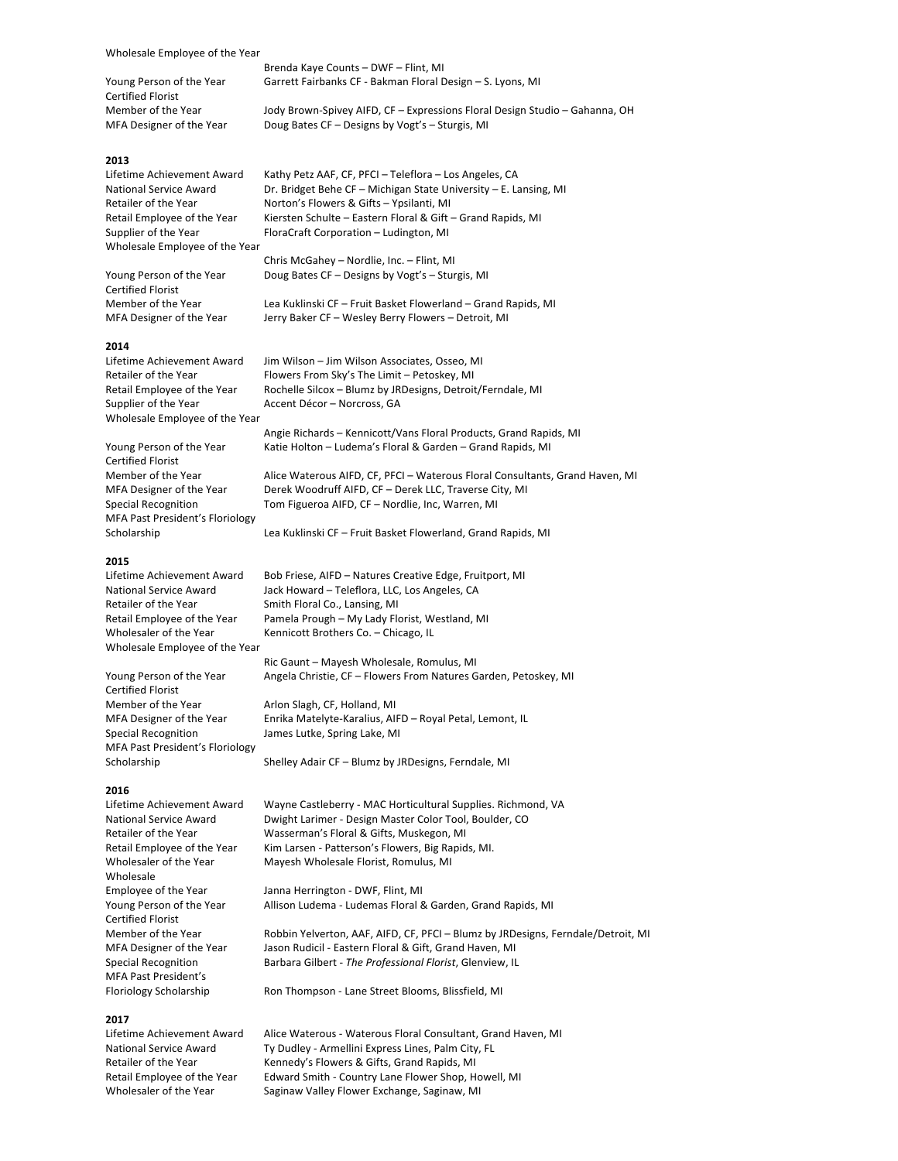Wholesale Employee of the Year

Young Person of the Year Garrett Fairbanks CF - Bakman Floral Design - S. Lyons, MI Certified Florist Member of the Year Jody Brown-Spivey AIFD, CF – Expressions Floral Design Studio – Gahanna, OH<br>MFA Designer of the Year Doug Bates CF – Designs by Vogt's – Sturgis, MI

## **2013**

Lifetime Achievement Award Kathy Petz AAF, CF, PFCI - Teleflora - Los Angeles, CA National Service Award Dr. Bridget Behe CF – Michigan State University – E. Lansing, MI<br>Retailer of the Year **Networth Michael Alteration**'s Flowers & Gifts – Ypsilanti, MI Norton's Flowers & Gifts – Ypsilanti, MI Retail Employee of the Year Kiersten Schulte – Eastern Floral & Gift – Grand Rapids, MI Supplier of the Year FloraCraft Corporation – Ludington, MI Wholesale Employee of the Year

Chris McGahey - Nordlie, Inc. - Flint, MI Young Person of the Year Doug Bates CF - Designs by Vogt's - Sturgis, MI

Doug Bates CF – Designs by Vogt's – Sturgis, MI

Brenda Kaye Counts – DWF – Flint, MI

Certified Florist 

#### **2014**

Supplier of the Year **Accent Décor** – Norcross, GA Wholesale Employee of the Year

Certified Florist MFA Past President's Floriology

#### **2015**

Retailer of the Year Smith Floral Co., Lansing, MI Wholesale Employee of the Year

Certified Florist Member of the Year **Arlon Slagh, CF, Holland, MI** Special Recognition **Sumes** Lutke, Spring Lake, MI MFA Past President's Floriology

#### **2016**

Wholesale Certified Florist MFA Past President's 

#### **2017**

Member of the Year Lea Kuklinski CF – Fruit Basket Flowerland – Grand Rapids, MI MFA Designer of the Year Jerry Baker CF - Wesley Berry Flowers - Detroit, MI

Lifetime Achievement Award Jim Wilson – Jim Wilson Associates, Osseo, MI Retailer of the Year Flowers From Sky's The Limit – Petoskey, MI Retail Employee of the Year Rochelle Silcox - Blumz by JRDesigns, Detroit/Ferndale, MI

Angie Richards - Kennicott/Vans Floral Products, Grand Rapids, MI Young Person of the Year Katie Holton - Ludema's Floral & Garden - Grand Rapids, MI

Member of the Year Alice Waterous AIFD, CF, PFCI – Waterous Floral Consultants, Grand Haven, MI MFA Designer of the Year Derek Woodruff AIFD, CF - Derek LLC, Traverse City, MI Special Recognition Tom Figueroa AIFD, CF - Nordlie, Inc, Warren, MI

Scholarship **Lea Kuklinski CF** – Fruit Basket Flowerland, Grand Rapids, MI

Lifetime Achievement Award Bob Friese, AIFD - Natures Creative Edge, Fruitport, MI National Service Award Jack Howard – Teleflora, LLC, Los Angeles, CA Retail Employee of the Year Pamela Prough – My Lady Florist, Westland, MI Wholesaler of the Year Kennicott Brothers Co. - Chicago, IL

Ric Gaunt - Mayesh Wholesale, Romulus, MI Young Person of the Year Angela Christie, CF - Flowers From Natures Garden, Petoskey, MI

MFA Designer of the Year Enrika Matelyte-Karalius, AIFD - Royal Petal, Lemont, IL

Scholarship Shelley Adair CF – Blumz by JRDesigns, Ferndale, MI

Lifetime Achievement Award Wayne Castleberry - MAC Horticultural Supplies. Richmond, VA National Service Award Dwight Larimer - Design Master Color Tool, Boulder, CO Retailer of the Year Wasserman's Floral & Gifts, Muskegon, MI Retail Employee of the Year Kim Larsen - Patterson's Flowers, Big Rapids, MI. Wholesaler of the Year Mayesh Wholesale Florist, Romulus, MI

Employee of the Year Janna Herrington - DWF, Flint, MI Young Person of the Year Allison Ludema - Ludemas Floral & Garden, Grand Rapids, MI

Member of the Year **Robbin Yelverton, AAF, AIFD, CF, PFCI** – Blumz by JRDesigns, Ferndale/Detroit, MI MFA Designer of the Year Jason Rudicil - Eastern Floral & Gift, Grand Haven, MI Special Recognition **Barbara Gilbert** - *The Professional Florist*, Glenview, IL

Floriology Scholarship Ron Thompson - Lane Street Blooms, Blissfield, MI

Lifetime Achievement Award Alice Waterous - Waterous Floral Consultant, Grand Haven, MI National Service Award Ty Dudley - Armellini Express Lines, Palm City, FL Retailer of the Year Kennedy's Flowers & Gifts, Grand Rapids, MI Retail Employee of the Year Edward Smith - Country Lane Flower Shop, Howell, MI Wholesaler of the Year Saginaw Valley Flower Exchange, Saginaw, MI